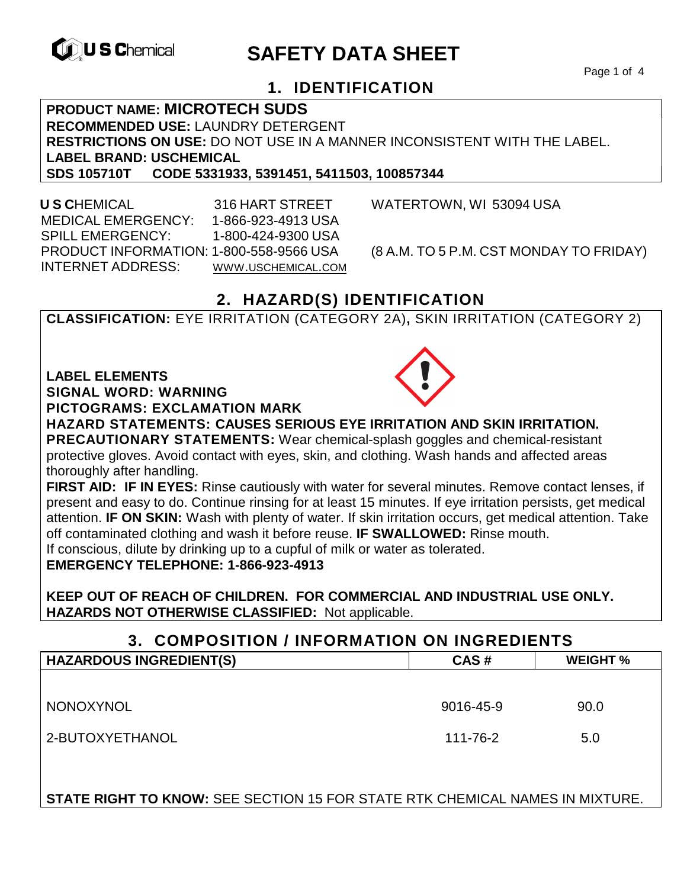

# **EXAGREM** SAFETY DATA SHEET

Page 1 of 4

### **1. IDENTIFICATION**

**PRODUCT NAME: MICROTECH SUDS RECOMMENDED USE:** LAUNDRY DETERGENT **RESTRICTIONS ON USE:** DO NOT USE IN A MANNER INCONSISTENT WITH THE LABEL. **LABEL BRAND: USCHEMICAL SDS 105710T CODE 5331933, 5391451, 5411503, 100857344** 

 **U S C**HEMICAL 316 HART STREET WATERTOWN, WI 53094 USA MEDICAL EMERGENCY: 1-866-923-4913 USA SPILL EMERGENCY: 1-800-424-9300 USA PRODUCT INFORMATION: 1-800-558-9566 USA (8 A.M. TO 5 P.M. CST MONDAY TO FRIDAY) INTERNET ADDRESS: WWW.USCHEMICAL.COM

## **2. HAZARD(S) IDENTIFICATION**

**CLASSIFICATION:** EYE IRRITATION (CATEGORY 2A)**,** SKIN IRRITATION (CATEGORY 2)

**LABEL ELEMENTS** 

**SIGNAL WORD: WARNING**

**PICTOGRAMS: EXCLAMATION MARK**



**HAZARD STATEMENTS: CAUSES SERIOUS EYE IRRITATION AND SKIN IRRITATION. PRECAUTIONARY STATEMENTS:** Wear chemical-splash goggles and chemical-resistant

protective gloves. Avoid contact with eyes, skin, and clothing. Wash hands and affected areas thoroughly after handling.

**FIRST AID: IF IN EYES:** Rinse cautiously with water for several minutes. Remove contact lenses, if present and easy to do. Continue rinsing for at least 15 minutes. If eye irritation persists, get medical attention. **IF ON SKIN:** Wash with plenty of water. If skin irritation occurs, get medical attention. Take off contaminated clothing and wash it before reuse. **IF SWALLOWED:** Rinse mouth. If conscious, dilute by drinking up to a cupful of milk or water as tolerated.

**EMERGENCY TELEPHONE: 1-866-923-4913** 

**KEEP OUT OF REACH OF CHILDREN. FOR COMMERCIAL AND INDUSTRIAL USE ONLY. HAZARDS NOT OTHERWISE CLASSIFIED:** Not applicable.

**3. COMPOSITION / INFORMATION ON INGREDIENTS** 

| <b>HAZARDOUS INGREDIENT(S)</b> | CAS#      | <b>WEIGHT %</b> |
|--------------------------------|-----------|-----------------|
|                                |           |                 |
| NONOXYNOL                      | 9016-45-9 | 90.0            |
| 2-BUTOXYETHANOL                | 111-76-2  | 5.0             |

**STATE RIGHT TO KNOW:** SEE SECTION 15 FOR STATE RTK CHEMICAL NAMES IN MIXTURE.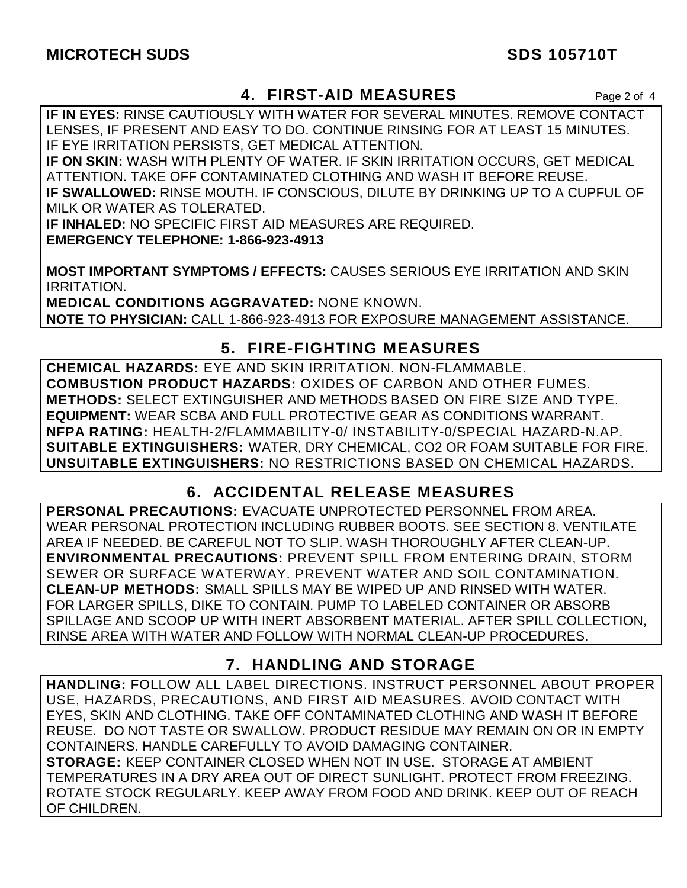#### **4. FIRST-AID MEASURES** Page 2 of 4

**IF IN EYES:** RINSE CAUTIOUSLY WITH WATER FOR SEVERAL MINUTES. REMOVE CONTACT LENSES, IF PRESENT AND EASY TO DO. CONTINUE RINSING FOR AT LEAST 15 MINUTES. IF EYE IRRITATION PERSISTS, GET MEDICAL ATTENTION.

**IF ON SKIN:** WASH WITH PLENTY OF WATER. IF SKIN IRRITATION OCCURS, GET MEDICAL ATTENTION. TAKE OFF CONTAMINATED CLOTHING AND WASH IT BEFORE REUSE. **IF SWALLOWED:** RINSE MOUTH. IF CONSCIOUS, DILUTE BY DRINKING UP TO A CUPFUL OF MILK OR WATER AS TOLERATED.

**IF INHALED:** NO SPECIFIC FIRST AID MEASURES ARE REQUIRED.

**EMERGENCY TELEPHONE: 1-866-923-4913** 

**MOST IMPORTANT SYMPTOMS / EFFECTS:** CAUSES SERIOUS EYE IRRITATION AND SKIN IRRITATION.

**MEDICAL CONDITIONS AGGRAVATED:** NONE KNOWN. **NOTE TO PHYSICIAN:** CALL 1-866-923-4913 FOR EXPOSURE MANAGEMENT ASSISTANCE.

#### **5. FIRE-FIGHTING MEASURES**

**CHEMICAL HAZARDS:** EYE AND SKIN IRRITATION. NON-FLAMMABLE. **COMBUSTION PRODUCT HAZARDS:** OXIDES OF CARBON AND OTHER FUMES. **METHODS:** SELECT EXTINGUISHER AND METHODS BASED ON FIRE SIZE AND TYPE. **EQUIPMENT:** WEAR SCBA AND FULL PROTECTIVE GEAR AS CONDITIONS WARRANT. **NFPA RATING:** HEALTH-2/FLAMMABILITY-0/ INSTABILITY-0/SPECIAL HAZARD-N.AP. **SUITABLE EXTINGUISHERS:** WATER, DRY CHEMICAL, CO2 OR FOAM SUITABLE FOR FIRE. **UNSUITABLE EXTINGUISHERS:** NO RESTRICTIONS BASED ON CHEMICAL HAZARDS.

### **6. ACCIDENTAL RELEASE MEASURES**

**PERSONAL PRECAUTIONS:** EVACUATE UNPROTECTED PERSONNEL FROM AREA. WEAR PERSONAL PROTECTION INCLUDING RUBBER BOOTS. SEE SECTION 8. VENTILATE AREA IF NEEDED. BE CAREFUL NOT TO SLIP. WASH THOROUGHLY AFTER CLEAN-UP. **ENVIRONMENTAL PRECAUTIONS:** PREVENT SPILL FROM ENTERING DRAIN, STORM SEWER OR SURFACE WATERWAY. PREVENT WATER AND SOIL CONTAMINATION. **CLEAN-UP METHODS:** SMALL SPILLS MAY BE WIPED UP AND RINSED WITH WATER. FOR LARGER SPILLS, DIKE TO CONTAIN. PUMP TO LABELED CONTAINER OR ABSORB SPILLAGE AND SCOOP UP WITH INERT ABSORBENT MATERIAL. AFTER SPILL COLLECTION, RINSE AREA WITH WATER AND FOLLOW WITH NORMAL CLEAN-UP PROCEDURES.

# **7. HANDLING AND STORAGE**

**HANDLING:** FOLLOW ALL LABEL DIRECTIONS. INSTRUCT PERSONNEL ABOUT PROPER USE, HAZARDS, PRECAUTIONS, AND FIRST AID MEASURES. AVOID CONTACT WITH EYES, SKIN AND CLOTHING. TAKE OFF CONTAMINATED CLOTHING AND WASH IT BEFORE REUSE. DO NOT TASTE OR SWALLOW. PRODUCT RESIDUE MAY REMAIN ON OR IN EMPTY CONTAINERS. HANDLE CAREFULLY TO AVOID DAMAGING CONTAINER. **STORAGE:** KEEP CONTAINER CLOSED WHEN NOT IN USE. STORAGE AT AMBIENT TEMPERATURES IN A DRY AREA OUT OF DIRECT SUNLIGHT. PROTECT FROM FREEZING. ROTATE STOCK REGULARLY. KEEP AWAY FROM FOOD AND DRINK. KEEP OUT OF REACH OF CHILDREN.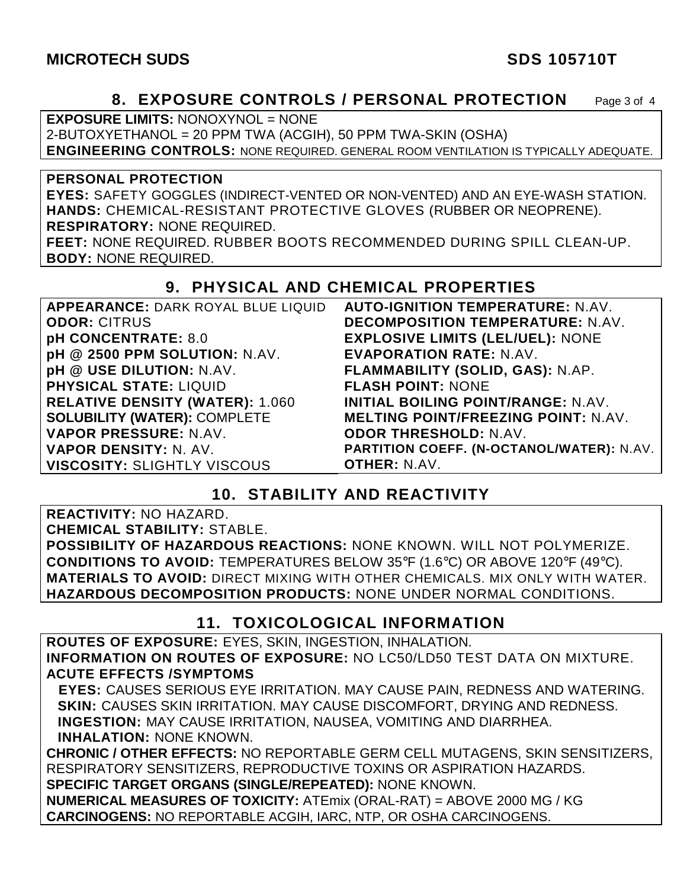#### **8. EXPOSURE CONTROLS / PERSONAL PROTECTION** Page 3 of 4

**EXPOSURE LIMITS:** NONOXYNOL = NONE

2-BUTOXYETHANOL = 20 PPM TWA (ACGIH), 50 PPM TWA-SKIN (OSHA)

**ENGINEERING CONTROLS:** NONE REQUIRED. GENERAL ROOM VENTILATION IS TYPICALLY ADEQUATE.

**PERSONAL PROTECTION** 

**EYES:** SAFETY GOGGLES (INDIRECT-VENTED OR NON-VENTED) AND AN EYE-WASH STATION. **HANDS:** CHEMICAL-RESISTANT PROTECTIVE GLOVES (RUBBER OR NEOPRENE). **RESPIRATORY:** NONE REQUIRED.

**FEET:** NONE REQUIRED. RUBBER BOOTS RECOMMENDED DURING SPILL CLEAN-UP. **BODY:** NONE REQUIRED.

#### **9. PHYSICAL AND CHEMICAL PROPERTIES**

| APPEARANCE: DARK ROYAL BLUE LIQUID     | <b>AUTO-IGNITION TEMPERATURE: N.AV.</b>          |
|----------------------------------------|--------------------------------------------------|
| <b>ODOR: CITRUS</b>                    | <b>DECOMPOSITION TEMPERATURE: N.AV.</b>          |
| pH CONCENTRATE: 8.0                    | <b>EXPLOSIVE LIMITS (LEL/UEL): NONE</b>          |
| pH @ 2500 PPM SOLUTION: N.AV.          | <b>EVAPORATION RATE: N.AV.</b>                   |
| pH @ USE DILUTION: N.AV.               | FLAMMABILITY (SOLID, GAS): N.AP.                 |
| <b>PHYSICAL STATE: LIQUID</b>          | <b>FLASH POINT: NONE</b>                         |
| <b>RELATIVE DENSITY (WATER): 1.060</b> | <b>INITIAL BOILING POINT/RANGE: N.AV.</b>        |
| <b>SOLUBILITY (WATER): COMPLETE</b>    | <b>MELTING POINT/FREEZING POINT: N.AV.</b>       |
| VAPOR PRESSURE: N.AV.                  | <b>ODOR THRESHOLD: N.AV.</b>                     |
| VAPOR DENSITY: N. AV.                  | <b>PARTITION COEFF. (N-OCTANOL/WATER): N.AV.</b> |
| <b>VISCOSITY: SLIGHTLY VISCOUS</b>     | <b>OTHER: N.AV.</b>                              |

### **10. STABILITY AND REACTIVITY**

**REACTIVITY:** NO HAZARD. **CHEMICAL STABILITY:** STABLE. **POSSIBILITY OF HAZARDOUS REACTIONS:** NONE KNOWN. WILL NOT POLYMERIZE. **CONDITIONS TO AVOID:** TEMPERATURES BELOW 35°F (1.6°C) OR ABOVE 120°F (49°C). **MATERIALS TO AVOID:** DIRECT MIXING WITH OTHER CHEMICALS. MIX ONLY WITH WATER. **HAZARDOUS DECOMPOSITION PRODUCTS:** NONE UNDER NORMAL CONDITIONS.

### **11. TOXICOLOGICAL INFORMATION**

**ROUTES OF EXPOSURE:** EYES, SKIN, INGESTION, INHALATION. **INFORMATION ON ROUTES OF EXPOSURE:** NO LC50/LD50 TEST DATA ON MIXTURE. **ACUTE EFFECTS /SYMPTOMS** 

 **EYES:** CAUSES SERIOUS EYE IRRITATION. MAY CAUSE PAIN, REDNESS AND WATERING. **SKIN:** CAUSES SKIN IRRITATION. MAY CAUSE DISCOMFORT, DRYING AND REDNESS. **INGESTION:** MAY CAUSE IRRITATION, NAUSEA, VOMITING AND DIARRHEA. **INHALATION:** NONE KNOWN.

**CHRONIC / OTHER EFFECTS:** NO REPORTABLE GERM CELL MUTAGENS, SKIN SENSITIZERS, RESPIRATORY SENSITIZERS, REPRODUCTIVE TOXINS OR ASPIRATION HAZARDS. **SPECIFIC TARGET ORGANS (SINGLE/REPEATED):** NONE KNOWN.

**NUMERICAL MEASURES OF TOXICITY:** ATEmix (ORAL-RAT) = ABOVE 2000 MG / KG **CARCINOGENS:** NO REPORTABLE ACGIH, IARC, NTP, OR OSHA CARCINOGENS.